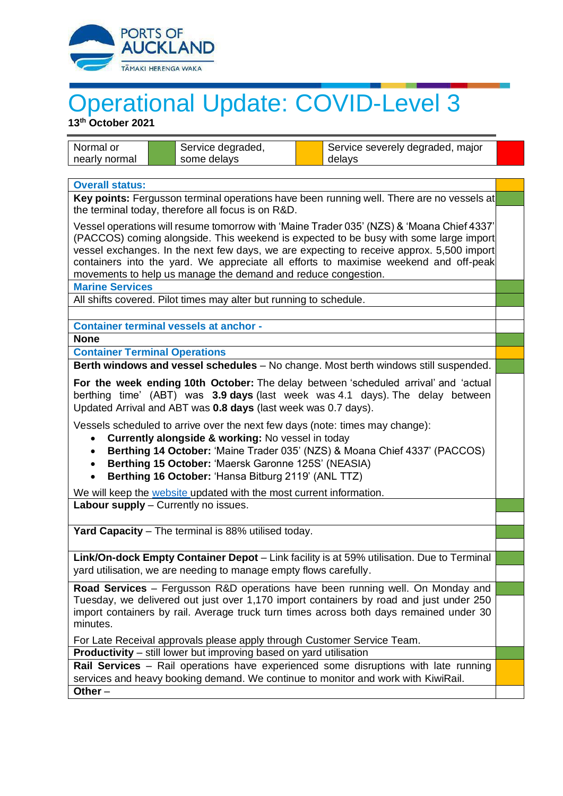

## Operational Update: COVID-Level 3

**13 th October 2021**

| <b>Overall status:</b><br>Key points: Fergusson terminal operations have been running well. There are no vessels at<br>the terminal today, therefore all focus is on R&D.<br>Vessel operations will resume tomorrow with 'Maine Trader 035' (NZS) & 'Moana Chief 4337'<br>(PACCOS) coming alongside. This weekend is expected to be busy with some large import<br>vessel exchanges. In the next few days, we are expecting to receive approx. 5,500 import<br>containers into the yard. We appreciate all efforts to maximise weekend and off-peak<br>movements to help us manage the demand and reduce congestion.<br><b>Marine Services</b><br>All shifts covered. Pilot times may alter but running to schedule.<br><b>Container terminal vessels at anchor -</b><br><b>None</b><br><b>Container Terminal Operations</b><br>Berth windows and vessel schedules - No change. Most berth windows still suspended.<br>For the week ending 10th October: The delay between 'scheduled arrival' and 'actual<br>berthing time' (ABT) was 3.9 days (last week was 4.1 days). The delay between<br>Updated Arrival and ABT was 0.8 days (last week was 0.7 days).<br>Vessels scheduled to arrive over the next few days (note: times may change):<br>Currently alongside & working: No vessel in today<br>Berthing 14 October: 'Maine Trader 035' (NZS) & Moana Chief 4337' (PACCOS)<br>$\bullet$<br>Berthing 15 October: 'Maersk Garonne 125S' (NEASIA)<br>Berthing 16 October: 'Hansa Bitburg 2119' (ANL TTZ)<br>We will keep the website updated with the most current information.<br>Labour supply - Currently no issues.<br>Yard Capacity - The terminal is 88% utilised today.<br>Link/On-dock Empty Container Depot - Link facility is at 59% utilisation. Due to Terminal<br>yard utilisation, we are needing to manage empty flows carefully.<br>Road Services - Fergusson R&D operations have been running well. On Monday and<br>Tuesday, we delivered out just over 1,170 import containers by road and just under 250<br>import containers by rail. Average truck turn times across both days remained under 30<br>minutes.<br>For Late Receival approvals please apply through Customer Service Team.<br><b>Productivity</b> – still lower but improving based on yard utilisation<br>Rail Services - Rail operations have experienced some disruptions with late running<br>services and heavy booking demand. We continue to monitor and work with KiwiRail. | Normal or<br>nearly normal | Service degraded,<br>some delays | Service severely degraded, major<br>delays |  |  |
|---------------------------------------------------------------------------------------------------------------------------------------------------------------------------------------------------------------------------------------------------------------------------------------------------------------------------------------------------------------------------------------------------------------------------------------------------------------------------------------------------------------------------------------------------------------------------------------------------------------------------------------------------------------------------------------------------------------------------------------------------------------------------------------------------------------------------------------------------------------------------------------------------------------------------------------------------------------------------------------------------------------------------------------------------------------------------------------------------------------------------------------------------------------------------------------------------------------------------------------------------------------------------------------------------------------------------------------------------------------------------------------------------------------------------------------------------------------------------------------------------------------------------------------------------------------------------------------------------------------------------------------------------------------------------------------------------------------------------------------------------------------------------------------------------------------------------------------------------------------------------------------------------------------------------------------------------------------------------------------------------------------------------------------------------------------------------------------------------------------------------------------------------------------------------------------------------------------------------------------------------------------------------------------------------------------------------------------------------------------------------------------------------------------------------------------------------------------------------|----------------------------|----------------------------------|--------------------------------------------|--|--|
|                                                                                                                                                                                                                                                                                                                                                                                                                                                                                                                                                                                                                                                                                                                                                                                                                                                                                                                                                                                                                                                                                                                                                                                                                                                                                                                                                                                                                                                                                                                                                                                                                                                                                                                                                                                                                                                                                                                                                                                                                                                                                                                                                                                                                                                                                                                                                                                                                                                                           |                            |                                  |                                            |  |  |
|                                                                                                                                                                                                                                                                                                                                                                                                                                                                                                                                                                                                                                                                                                                                                                                                                                                                                                                                                                                                                                                                                                                                                                                                                                                                                                                                                                                                                                                                                                                                                                                                                                                                                                                                                                                                                                                                                                                                                                                                                                                                                                                                                                                                                                                                                                                                                                                                                                                                           |                            |                                  |                                            |  |  |
|                                                                                                                                                                                                                                                                                                                                                                                                                                                                                                                                                                                                                                                                                                                                                                                                                                                                                                                                                                                                                                                                                                                                                                                                                                                                                                                                                                                                                                                                                                                                                                                                                                                                                                                                                                                                                                                                                                                                                                                                                                                                                                                                                                                                                                                                                                                                                                                                                                                                           |                            |                                  |                                            |  |  |
|                                                                                                                                                                                                                                                                                                                                                                                                                                                                                                                                                                                                                                                                                                                                                                                                                                                                                                                                                                                                                                                                                                                                                                                                                                                                                                                                                                                                                                                                                                                                                                                                                                                                                                                                                                                                                                                                                                                                                                                                                                                                                                                                                                                                                                                                                                                                                                                                                                                                           |                            |                                  |                                            |  |  |
|                                                                                                                                                                                                                                                                                                                                                                                                                                                                                                                                                                                                                                                                                                                                                                                                                                                                                                                                                                                                                                                                                                                                                                                                                                                                                                                                                                                                                                                                                                                                                                                                                                                                                                                                                                                                                                                                                                                                                                                                                                                                                                                                                                                                                                                                                                                                                                                                                                                                           |                            |                                  |                                            |  |  |
|                                                                                                                                                                                                                                                                                                                                                                                                                                                                                                                                                                                                                                                                                                                                                                                                                                                                                                                                                                                                                                                                                                                                                                                                                                                                                                                                                                                                                                                                                                                                                                                                                                                                                                                                                                                                                                                                                                                                                                                                                                                                                                                                                                                                                                                                                                                                                                                                                                                                           |                            |                                  |                                            |  |  |
|                                                                                                                                                                                                                                                                                                                                                                                                                                                                                                                                                                                                                                                                                                                                                                                                                                                                                                                                                                                                                                                                                                                                                                                                                                                                                                                                                                                                                                                                                                                                                                                                                                                                                                                                                                                                                                                                                                                                                                                                                                                                                                                                                                                                                                                                                                                                                                                                                                                                           |                            |                                  |                                            |  |  |
|                                                                                                                                                                                                                                                                                                                                                                                                                                                                                                                                                                                                                                                                                                                                                                                                                                                                                                                                                                                                                                                                                                                                                                                                                                                                                                                                                                                                                                                                                                                                                                                                                                                                                                                                                                                                                                                                                                                                                                                                                                                                                                                                                                                                                                                                                                                                                                                                                                                                           |                            |                                  |                                            |  |  |
|                                                                                                                                                                                                                                                                                                                                                                                                                                                                                                                                                                                                                                                                                                                                                                                                                                                                                                                                                                                                                                                                                                                                                                                                                                                                                                                                                                                                                                                                                                                                                                                                                                                                                                                                                                                                                                                                                                                                                                                                                                                                                                                                                                                                                                                                                                                                                                                                                                                                           |                            |                                  |                                            |  |  |
|                                                                                                                                                                                                                                                                                                                                                                                                                                                                                                                                                                                                                                                                                                                                                                                                                                                                                                                                                                                                                                                                                                                                                                                                                                                                                                                                                                                                                                                                                                                                                                                                                                                                                                                                                                                                                                                                                                                                                                                                                                                                                                                                                                                                                                                                                                                                                                                                                                                                           |                            |                                  |                                            |  |  |
|                                                                                                                                                                                                                                                                                                                                                                                                                                                                                                                                                                                                                                                                                                                                                                                                                                                                                                                                                                                                                                                                                                                                                                                                                                                                                                                                                                                                                                                                                                                                                                                                                                                                                                                                                                                                                                                                                                                                                                                                                                                                                                                                                                                                                                                                                                                                                                                                                                                                           |                            |                                  |                                            |  |  |
|                                                                                                                                                                                                                                                                                                                                                                                                                                                                                                                                                                                                                                                                                                                                                                                                                                                                                                                                                                                                                                                                                                                                                                                                                                                                                                                                                                                                                                                                                                                                                                                                                                                                                                                                                                                                                                                                                                                                                                                                                                                                                                                                                                                                                                                                                                                                                                                                                                                                           |                            |                                  |                                            |  |  |
|                                                                                                                                                                                                                                                                                                                                                                                                                                                                                                                                                                                                                                                                                                                                                                                                                                                                                                                                                                                                                                                                                                                                                                                                                                                                                                                                                                                                                                                                                                                                                                                                                                                                                                                                                                                                                                                                                                                                                                                                                                                                                                                                                                                                                                                                                                                                                                                                                                                                           |                            |                                  |                                            |  |  |
|                                                                                                                                                                                                                                                                                                                                                                                                                                                                                                                                                                                                                                                                                                                                                                                                                                                                                                                                                                                                                                                                                                                                                                                                                                                                                                                                                                                                                                                                                                                                                                                                                                                                                                                                                                                                                                                                                                                                                                                                                                                                                                                                                                                                                                                                                                                                                                                                                                                                           |                            |                                  |                                            |  |  |
|                                                                                                                                                                                                                                                                                                                                                                                                                                                                                                                                                                                                                                                                                                                                                                                                                                                                                                                                                                                                                                                                                                                                                                                                                                                                                                                                                                                                                                                                                                                                                                                                                                                                                                                                                                                                                                                                                                                                                                                                                                                                                                                                                                                                                                                                                                                                                                                                                                                                           |                            |                                  |                                            |  |  |
|                                                                                                                                                                                                                                                                                                                                                                                                                                                                                                                                                                                                                                                                                                                                                                                                                                                                                                                                                                                                                                                                                                                                                                                                                                                                                                                                                                                                                                                                                                                                                                                                                                                                                                                                                                                                                                                                                                                                                                                                                                                                                                                                                                                                                                                                                                                                                                                                                                                                           | Other $-$                  |                                  |                                            |  |  |